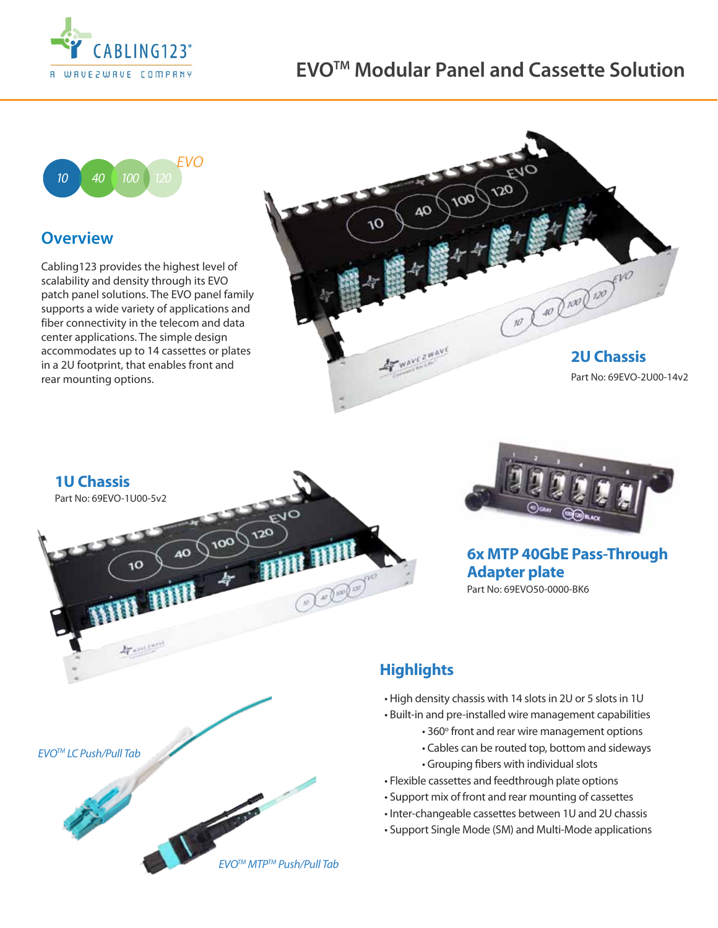

## **EVOTM Modular Panel and Cassette Solution**



## **Overview**

Cabling123 provides the highest level of scalability and density through its EVO patch panel solutions. The EVO panel family supports a wide variety of applications and fiber connectivity in the telecom and data center applications. The simple design accommodates up to 14 cassettes or plates in a 2U footprint, that enables front and rear mounting options.





*EVOTM MTPTM Push/Pull Tab*



**6x MTP 40GbE Pass-Through Adapter plate** Part No: 69EVO50-0000-BK6

## **Highlights**

- High density chassis with 14 slots in 2U or 5 slots in 1U
- Built-in and pre-installed wire management capabilities
	- 360° front and rear wire management options
	- Cables can be routed top, bottom and sideways
	- Grouping fibers with individual slots
- Flexible cassettes and feedthrough plate options
- Support mix of front and rear mounting of cassettes
- Inter-changeable cassettes between 1U and 2U chassis
- Support Single Mode (SM) and Multi-Mode applications